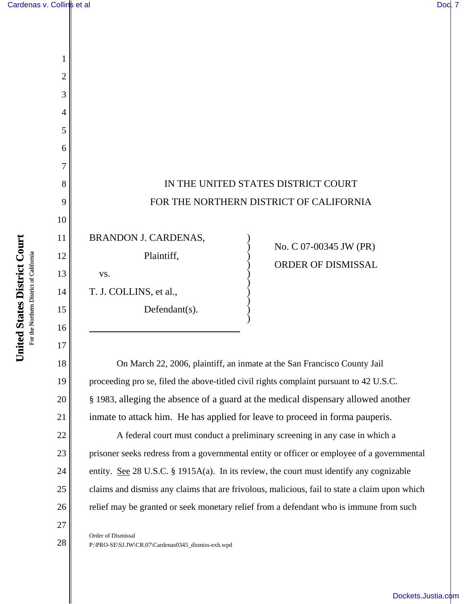1

2

3

4

5

6

7

8

9

10

11

12

13

14

15

16

17

18

19

20

21

22

23

24

25

# IN THE UNITED STATES DISTRICT COURT FOR THE NORTHERN DISTRICT OF CALIFORNIA BRANDON J. CARDENAS, Plaintiff, vs. T. J. COLLINS, et al., Defendant(s). ) ) ) ) ) ) ) ) ) ) No. C 07-00345 JW (PR) ORDER OF DISMISSAL

On March 22, 2006, plaintiff, an inmate at the San Francisco County Jail proceeding pro se, filed the above-titled civil rights complaint pursuant to 42 U.S.C. § 1983, alleging the absence of a guard at the medical dispensary allowed another inmate to attack him. He has applied for leave to proceed in forma pauperis.

A federal court must conduct a preliminary screening in any case in which a prisoner seeks redress from a governmental entity or officer or employee of a governmental entity. See 28 U.S.C. § 1915A(a). In its review, the court must identify any cognizable claims and dismiss any claims that are frivolous, malicious, fail to state a claim upon which relief may be granted or seek monetary relief from a defendant who is immune from such

27

28

26

Order of Dismissal P:\PRO-SE\SJ.JW\CR.07\Cardenas0345\_dismiss-exh.wpd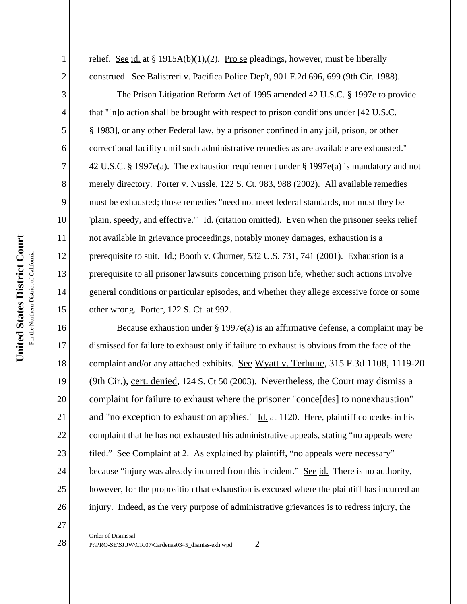1

2

3

4

5

6

7

8

9

10

11

12

13

14

15

16

17

18

19

20

21

22

23

24

25

26

relief. See id. at § 1915A(b)(1),(2). Pro se pleadings, however, must be liberally construed. See Balistreri v. Pacifica Police Dep't, 901 F.2d 696, 699 (9th Cir. 1988).

The Prison Litigation Reform Act of 1995 amended 42 U.S.C. § 1997e to provide that "[n]o action shall be brought with respect to prison conditions under [42 U.S.C. § 1983], or any other Federal law, by a prisoner confined in any jail, prison, or other correctional facility until such administrative remedies as are available are exhausted." 42 U.S.C. § 1997e(a). The exhaustion requirement under § 1997e(a) is mandatory and not merely directory. Porter v. Nussle, 122 S. Ct. 983, 988 (2002). All available remedies must be exhausted; those remedies "need not meet federal standards, nor must they be 'plain, speedy, and effective.'" Id. (citation omitted). Even when the prisoner seeks relief not available in grievance proceedings, notably money damages, exhaustion is a prerequisite to suit. Id.; Booth v. Churner, 532 U.S. 731, 741 (2001). Exhaustion is a prerequisite to all prisoner lawsuits concerning prison life, whether such actions involve general conditions or particular episodes, and whether they allege excessive force or some other wrong. Porter, 122 S. Ct. at 992.

Because exhaustion under  $\S$  1997e(a) is an affirmative defense, a complaint may be dismissed for failure to exhaust only if failure to exhaust is obvious from the face of the complaint and/or any attached exhibits. See Wyatt v. Terhune, 315 F.3d 1108, 1119-20 (9th Cir.), cert. denied, 124 S. Ct 50 (2003). Nevertheless, the Court may dismiss a complaint for failure to exhaust where the prisoner "conce[des] to nonexhaustion" and "no exception to exhaustion applies." Id. at 1120. Here, plaintiff concedes in his complaint that he has not exhausted his administrative appeals, stating "no appeals were filed." See Complaint at 2. As explained by plaintiff, "no appeals were necessary" because "injury was already incurred from this incident." See id. There is no authority, however, for the proposition that exhaustion is excused where the plaintiff has incurred an injury. Indeed, as the very purpose of administrative grievances is to redress injury, the

27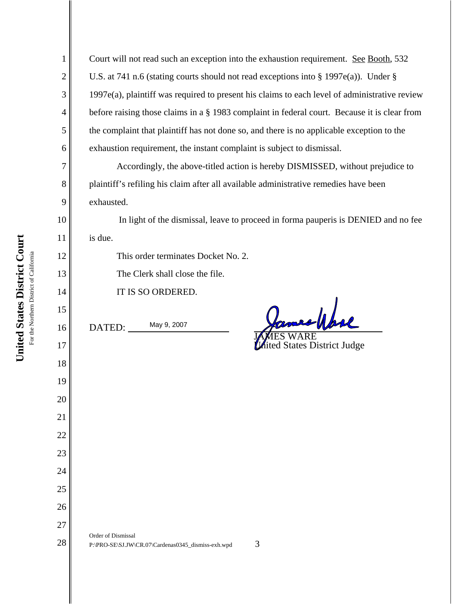1

2

3

4

5

6

7

8

9

10

11

12

13

14

15

16

17

18

19

20

21

22

23

24

25

26

27

28

Court will not read such an exception into the exhaustion requirement. See Booth, 532 U.S. at 741 n.6 (stating courts should not read exceptions into § 1997e(a)). Under § 1997e(a), plaintiff was required to present his claims to each level of administrative review before raising those claims in a § 1983 complaint in federal court. Because it is clear from the complaint that plaintiff has not done so, and there is no applicable exception to the exhaustion requirement, the instant complaint is subject to dismissal.

Accordingly, the above-titled action is hereby DISMISSED, without prejudice to plaintiff's refiling his claim after all available administrative remedies have been exhausted.

 In light of the dismissal, leave to proceed in forma pauperis is DENIED and no fee is due.

This order terminates Docket No. 2.

The Clerk shall close the file.

IT IS SO ORDERED.

DATED: May 9, 2007

realphal

JAMES WARE United States District Judge

Order of Dismissal P:\PRO-SE\SJ.JW\CR.07\Cardenas0345\_dismiss-exh.wpd 3